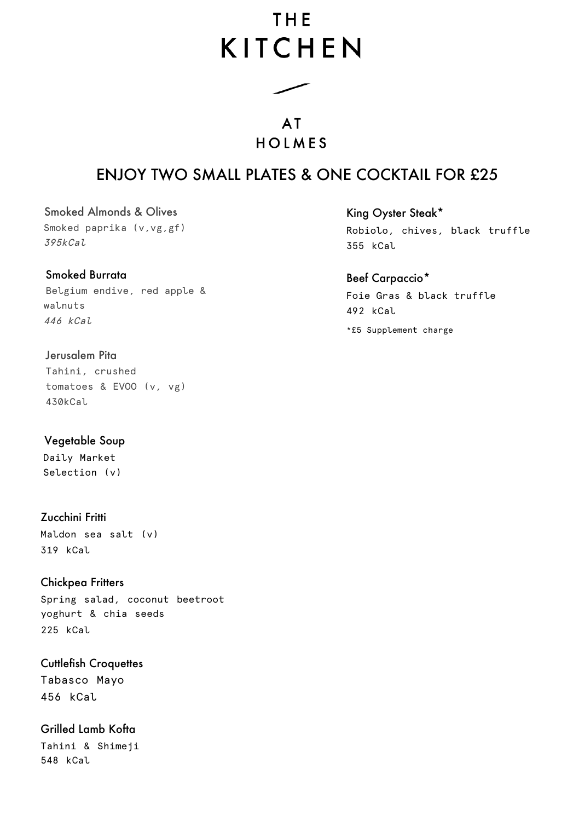# THF **KITCHEN**

**AT** HOIMES

# ENJOY TWO SMALL PLATES & ONE COCKTAIL FOR £25

Smoked Almonds & Olives Smoked paprika (v, vg, gf) 395kCal

# Smoked Burrata

Belgium endive, red apple & walnuts 446 kCal

# Jerusalem Pita

Tahini, crushed tomatoes & EVOO (v, vg) 430kCal

Vegetable Soup Daily Market Selection (v)

Zucchini Fritti Maldon sea salt (v) 319 kCal

Chickpea Fritters Spring salad, coconut beetroot yoghurt & chia seeds 225 kCal

Cuttlefish Croquettes Tabasco Mayo 456 kCal

Grilled Lamb Kofta Tahini & Shimeji 548 kCal

King Oyster Steak\*

Robiolo, chives, black truffle 355 kCal

## Beef Carpaccio\*

Foie Gras & black truffle 492 kCal

\*£5 Supplement charge